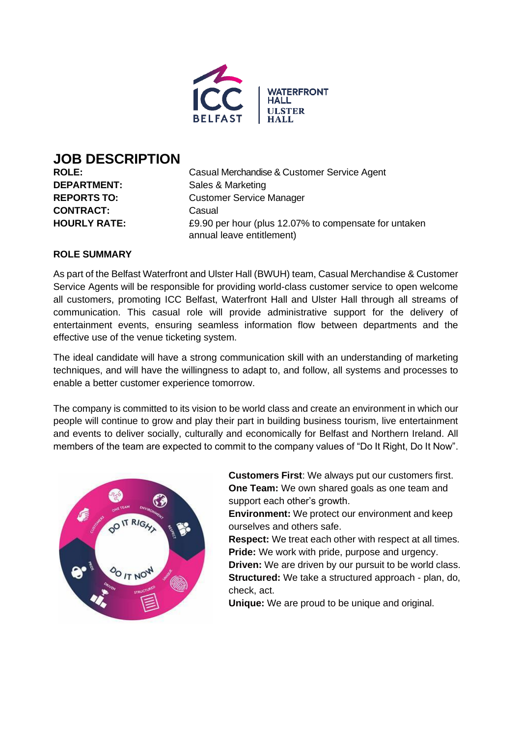

# **JOB DESCRIPTION**

**CONTRACT:** Casual

**ROLE:** Casual Merchandise & Customer Service Agent **DEPARTMENT:** Sales & Marketing **REPORTS TO:** Customer Service Manager **HOURLY RATE:** £9.90 per hour (plus 12.07% to compensate for untaken annual leave entitlement)

# **ROLE SUMMARY**

As part of the Belfast Waterfront and Ulster Hall (BWUH) team, Casual Merchandise & Customer Service Agents will be responsible for providing world-class customer service to open welcome all customers, promoting ICC Belfast, Waterfront Hall and Ulster Hall through all streams of communication. This casual role will provide administrative support for the delivery of entertainment events, ensuring seamless information flow between departments and the effective use of the venue ticketing system.

The ideal candidate will have a strong communication skill with an understanding of marketing techniques, and will have the willingness to adapt to, and follow, all systems and processes to enable a better customer experience tomorrow.

The company is committed to its vision to be world class and create an environment in which our people will continue to grow and play their part in building business tourism, live entertainment and events to deliver socially, culturally and economically for Belfast and Northern Ireland. All members of the team are expected to commit to the company values of "Do It Right, Do It Now".



**Customers First**: We always put our customers first. **One Team:** We own shared goals as one team and support each other's growth.

**Environment:** We protect our environment and keep ourselves and others safe.

**Respect:** We treat each other with respect at all times. **Pride:** We work with pride, purpose and urgency.

**Driven:** We are driven by our pursuit to be world class. **Structured:** We take a structured approach - plan, do, check, act.

**Unique:** We are proud to be unique and original.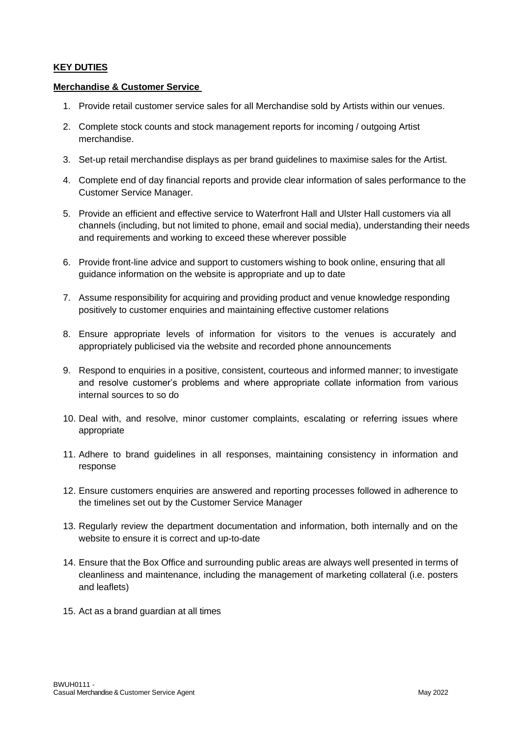## **KEY DUTIES**

#### **Merchandise & Customer Service**

- 1. Provide retail customer service sales for all Merchandise sold by Artists within our venues.
- 2. Complete stock counts and stock management reports for incoming / outgoing Artist merchandise.
- 3. Set-up retail merchandise displays as per brand guidelines to maximise sales for the Artist.
- 4. Complete end of day financial reports and provide clear information of sales performance to the Customer Service Manager.
- 5. Provide an efficient and effective service to Waterfront Hall and Ulster Hall customers via all channels (including, but not limited to phone, email and social media), understanding their needs and requirements and working to exceed these wherever possible
- 6. Provide front-line advice and support to customers wishing to book online, ensuring that all guidance information on the website is appropriate and up to date
- 7. Assume responsibility for acquiring and providing product and venue knowledge responding positively to customer enquiries and maintaining effective customer relations
- 8. Ensure appropriate levels of information for visitors to the venues is accurately and appropriately publicised via the website and recorded phone announcements
- 9. Respond to enquiries in a positive, consistent, courteous and informed manner; to investigate and resolve customer's problems and where appropriate collate information from various internal sources to so do
- 10. Deal with, and resolve, minor customer complaints, escalating or referring issues where appropriate
- 11. Adhere to brand guidelines in all responses, maintaining consistency in information and response
- 12. Ensure customers enquiries are answered and reporting processes followed in adherence to the timelines set out by the Customer Service Manager
- 13. Regularly review the department documentation and information, both internally and on the website to ensure it is correct and up-to-date
- 14. Ensure that the Box Office and surrounding public areas are always well presented in terms of cleanliness and maintenance, including the management of marketing collateral (i.e. posters and leaflets)
- 15. Act as a brand guardian at all times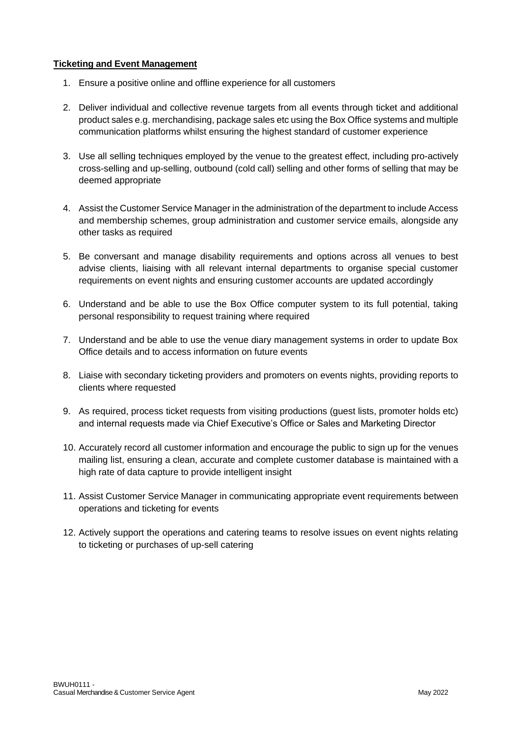## **Ticketing and Event Management**

- 1. Ensure a positive online and offline experience for all customers
- 2. Deliver individual and collective revenue targets from all events through ticket and additional product sales e.g. merchandising, package sales etc using the Box Office systems and multiple communication platforms whilst ensuring the highest standard of customer experience
- 3. Use all selling techniques employed by the venue to the greatest effect, including pro-actively cross-selling and up-selling, outbound (cold call) selling and other forms of selling that may be deemed appropriate
- 4. Assist the Customer Service Manager in the administration of the department to include Access and membership schemes, group administration and customer service emails, alongside any other tasks as required
- 5. Be conversant and manage disability requirements and options across all venues to best advise clients, liaising with all relevant internal departments to organise special customer requirements on event nights and ensuring customer accounts are updated accordingly
- 6. Understand and be able to use the Box Office computer system to its full potential, taking personal responsibility to request training where required
- 7. Understand and be able to use the venue diary management systems in order to update Box Office details and to access information on future events
- 8. Liaise with secondary ticketing providers and promoters on events nights, providing reports to clients where requested
- 9. As required, process ticket requests from visiting productions (guest lists, promoter holds etc) and internal requests made via Chief Executive's Office or Sales and Marketing Director
- 10. Accurately record all customer information and encourage the public to sign up for the venues mailing list, ensuring a clean, accurate and complete customer database is maintained with a high rate of data capture to provide intelligent insight
- 11. Assist Customer Service Manager in communicating appropriate event requirements between operations and ticketing for events
- 12. Actively support the operations and catering teams to resolve issues on event nights relating to ticketing or purchases of up-sell catering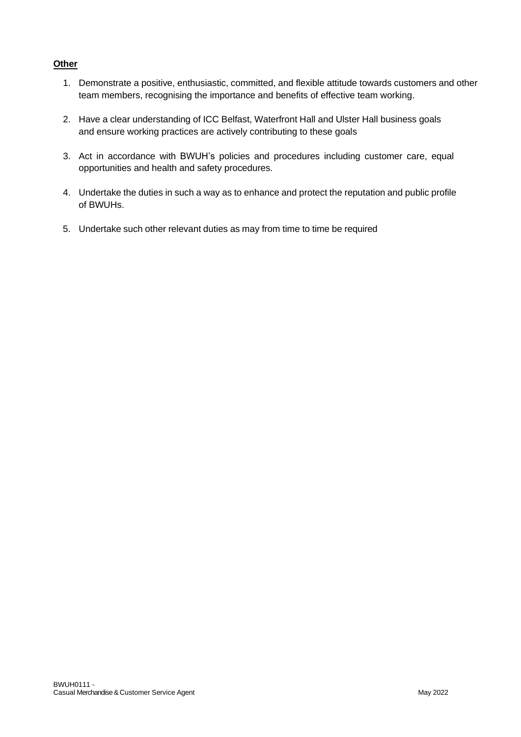## **Other**

- 1. Demonstrate a positive, enthusiastic, committed, and flexible attitude towards customers and other team members, recognising the importance and benefits of effective team working.
- 2. Have a clear understanding of ICC Belfast, Waterfront Hall and Ulster Hall business goals and ensure working practices are actively contributing to these goals
- 3. Act in accordance with BWUH's policies and procedures including customer care, equal opportunities and health and safety procedures.
- 4. Undertake the duties in such a way as to enhance and protect the reputation and public profile of BWUHs.
- 5. Undertake such other relevant duties as may from time to time be required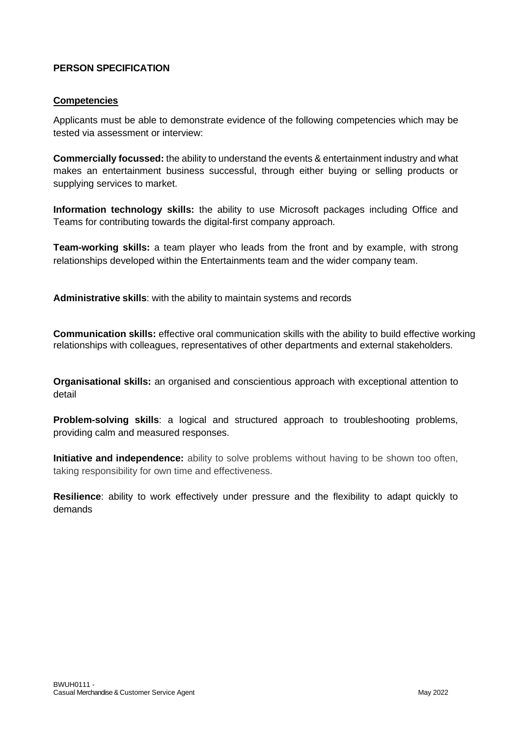# **PERSON SPECIFICATION**

## **Competencies**

Applicants must be able to demonstrate evidence of the following competencies which may be tested via assessment or interview:

**Commercially focussed:** the ability to understand the events & entertainment industry and what makes an entertainment business successful, through either buying or selling products or supplying services to market.

**Information technology skills:** the ability to use Microsoft packages including Office and Teams for contributing towards the digital-first company approach.

**Team-working skills:** a team player who leads from the front and by example, with strong relationships developed within the Entertainments team and the wider company team.

**Administrative skills**: with the ability to maintain systems and records

**Communication skills:** effective oral communication skills with the ability to build effective working relationships with colleagues, representatives of other departments and external stakeholders.

**Organisational skills:** an organised and conscientious approach with exceptional attention to detail

**Problem-solving skills**: a logical and structured approach to troubleshooting problems, providing calm and measured responses.

**Initiative and independence:** ability to solve problems without having to be shown too often, taking responsibility for own time and effectiveness.

**Resilience**: ability to work effectively under pressure and the flexibility to adapt quickly to demands